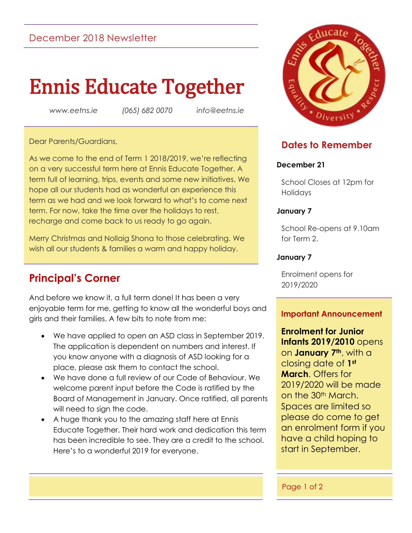# December 2018 Newsletter

# Ennis Educate Together

*www.eetns.ie (065) 682 0070 info@eetns.ie*

#### Dear Parents/Guardians,

As we come to the end of Term 1 2018/2019, we're reflecting on a very successful term here at Ennis Educate Together. A term full of learning, trips, events and some new initiatives. We hope all our students had as wonderful an experience this term as we had and we look forward to what's to come next term. For now, take the time over the holidays to rest, recharge and come back to us ready to go again.

Merry Christmas and Nollaig Shona to those celebrating. We wish all our students & families a warm and happy holiday.

# **Principal's Corner**

And before we know it, a full term done! It has been a very enjoyable term for me, getting to know all the wonderful boys and girls and their families. A few bits to note from me:

- We have applied to open an ASD class in September 2019. The application is dependent on numbers and interest. If you know anyone with a diagnosis of ASD looking for a place, please ask them to contact the school.
- We have done a full review of our Code of Behaviour. We welcome parent input before the Code is ratified by the Board of Management in January. Once ratified, all parents will need to sign the code.
- A huge thank you to the amazing staff here at Ennis Educate Together. Their hard work and dedication this term has been incredible to see. They are a credit to the school. Here's to a wonderful 2019 for everyone.



# **Dates to Remember**

## **December 21**

School Closes at 12pm for Holidays

#### **January 7**

School Re-opens at 9.10am for Term 2.

## **January 7**

Enrolment opens for 2019/2020

## **Important Announcement**

**Enrolment for Junior Infants 2019/2010** opens on **January 7th**, with a closing date of **1st March**. Offers for 2019/2020 will be made on the 30<sup>th</sup> March. Spaces are limited so please do come to get an enrolment form if you have a child hoping to start in September.